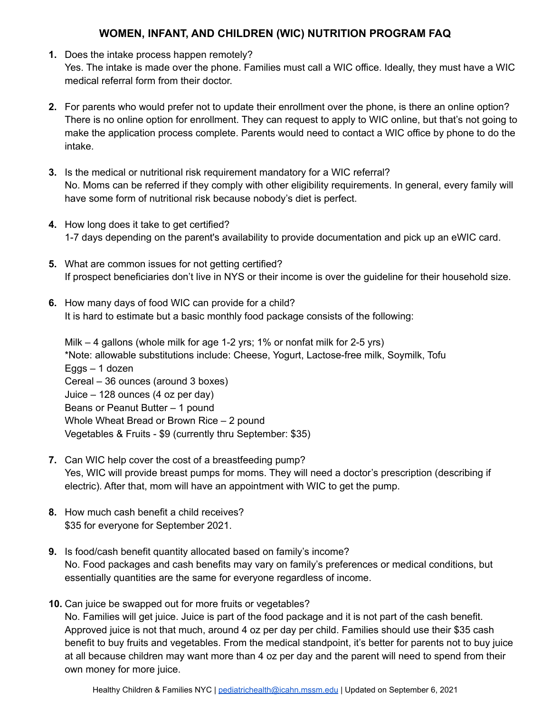## **WOMEN, INFANT, AND CHILDREN (WIC) NUTRITION PROGRAM FAQ**

- **1.** Does the intake process happen remotely? Yes. The intake is made over the phone. Families must call a WIC office. Ideally, they must have a WIC medical referral form from their doctor.
- **2.** For parents who would prefer not to update their enrollment over the phone, is there an online option? There is no online option for enrollment. They can request to apply to WIC online, but that's not going to make the application process complete. Parents would need to contact a WIC office by phone to do the intake.
- **3.** Is the medical or nutritional risk requirement mandatory for a WIC referral? No. Moms can be referred if they comply with other eligibility requirements. In general, every family will have some form of nutritional risk because nobody's diet is perfect.
- **4.** How long does it take to get certified? 1-7 days depending on the parent's availability to provide documentation and pick up an eWIC card.
- **5.** What are common issues for not getting certified? If prospect beneficiaries don't live in NYS or their income is over the guideline for their household size.
- **6.** How many days of food WIC can provide for a child? It is hard to estimate but a basic monthly food package consists of the following:

Milk – 4 gallons (whole milk for age 1-2 yrs; 1% or nonfat milk for 2-5 yrs) \*Note: allowable substitutions include: Cheese, Yogurt, Lactose-free milk, Soymilk, Tofu Eggs – 1 dozen Cereal – 36 ounces (around 3 boxes) Juice – 128 ounces (4 oz per day) Beans or Peanut Butter – 1 pound Whole Wheat Bread or Brown Rice – 2 pound Vegetables & Fruits - \$9 (currently thru September: \$35)

- **7.** Can WIC help cover the cost of a breastfeeding pump? Yes, WIC will provide breast pumps for moms. They will need a doctor's prescription (describing if electric). After that, mom will have an appointment with WIC to get the pump.
- **8.** How much cash benefit a child receives? \$35 for everyone for September 2021.
- **9.** Is food/cash benefit quantity allocated based on family's income? No. Food packages and cash benefits may vary on family's preferences or medical conditions, but essentially quantities are the same for everyone regardless of income.
- **10.** Can juice be swapped out for more fruits or vegetables? No. Families will get juice. Juice is part of the food package and it is not part of the cash benefit. Approved juice is not that much, around 4 oz per day per child. Families should use their \$35 cash benefit to buy fruits and vegetables. From the medical standpoint, it's better for parents not to buy juice at all because children may want more than 4 oz per day and the parent will need to spend from their own money for more juice.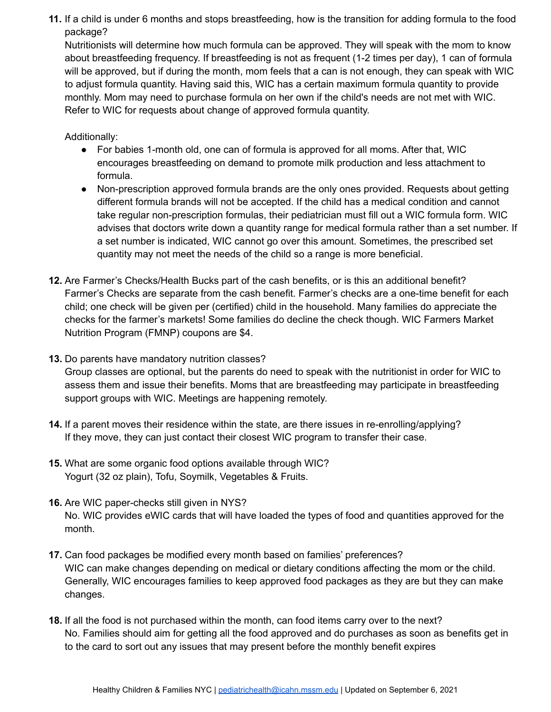**11.** If a child is under 6 months and stops breastfeeding, how is the transition for adding formula to the food package?

Nutritionists will determine how much formula can be approved. They will speak with the mom to know about breastfeeding frequency. If breastfeeding is not as frequent (1-2 times per day), 1 can of formula will be approved, but if during the month, mom feels that a can is not enough, they can speak with WIC to adjust formula quantity. Having said this, WIC has a certain maximum formula quantity to provide monthly. Mom may need to purchase formula on her own if the child's needs are not met with WIC. Refer to WIC for requests about change of approved formula quantity.

Additionally:

- For babies 1-month old, one can of formula is approved for all moms. After that, WIC encourages breastfeeding on demand to promote milk production and less attachment to formula.
- Non-prescription approved formula brands are the only ones provided. Requests about getting different formula brands will not be accepted. If the child has a medical condition and cannot take regular non-prescription formulas, their pediatrician must fill out a WIC formula form. WIC advises that doctors write down a quantity range for medical formula rather than a set number. If a set number is indicated, WIC cannot go over this amount. Sometimes, the prescribed set quantity may not meet the needs of the child so a range is more beneficial.
- **12.** Are Farmer's Checks/Health Bucks part of the cash benefits, or is this an additional benefit? Farmer's Checks are separate from the cash benefit. Farmer's checks are a one-time benefit for each child; one check will be given per (certified) child in the household. Many families do appreciate the checks for the farmer's markets! Some families do decline the check though. WIC Farmers Market Nutrition Program (FMNP) coupons are \$4.
- **13.** Do parents have mandatory nutrition classes? Group classes are optional, but the parents do need to speak with the nutritionist in order for WIC to assess them and issue their benefits. Moms that are breastfeeding may participate in breastfeeding support groups with WIC. Meetings are happening remotely.
- **14.** If a parent moves their residence within the state, are there issues in re-enrolling/applying? If they move, they can just contact their closest WIC program to transfer their case.
- **15.** What are some organic food options available through WIC? Yogurt (32 oz plain), Tofu, Soymilk, Vegetables & Fruits.
- **16.** Are WIC paper-checks still given in NYS? No. WIC provides eWIC cards that will have loaded the types of food and quantities approved for the month.
- **17.** Can food packages be modified every month based on families' preferences? WIC can make changes depending on medical or dietary conditions affecting the mom or the child. Generally, WIC encourages families to keep approved food packages as they are but they can make changes.
- **18.** If all the food is not purchased within the month, can food items carry over to the next? No. Families should aim for getting all the food approved and do purchases as soon as benefits get in to the card to sort out any issues that may present before the monthly benefit expires